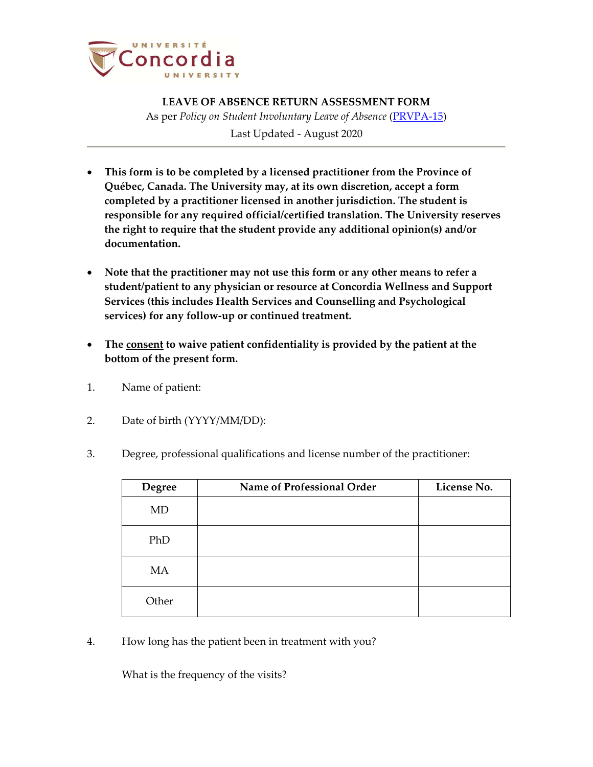

**LEAVE OF ABSENCE RETURN ASSESSMENT FORM** As per *Policy on Student Involuntary Leave of Absence* (PRVPA‐15)

Last Updated - August 2020

- **This form is to be completed by a licensed practitioner from the Province of Québec, Canada. The University may, at its own discretion, accept a form completed by a practitioner licensed in another jurisdiction. The student is responsible for any required official/certified translation. The University reserves the right to require that the student provide any additional opinion(s) and/or documentation.**
- **Note that the practitioner may not use this form or any other means to refer a student/patient to any physician or resource at Concordia Wellness and Support Services (this includes Health Services and Counselling and Psychological services) for any follow‐up or continued treatment.**
- **The consent to waive patient confidentiality is provided by the patient at the bottom of the present form.**
- 1. Name of patient:
- 2. Date of birth (YYYY/MM/DD):
- 3. Degree, professional qualifications and license number of the practitioner:

| <b>Degree</b> | Name of Professional Order | License No. |
|---------------|----------------------------|-------------|
| MD            |                            |             |
| PhD           |                            |             |
| MA            |                            |             |
| Other         |                            |             |

4. How long has the patient been in treatment with you?

What is the frequency of the visits?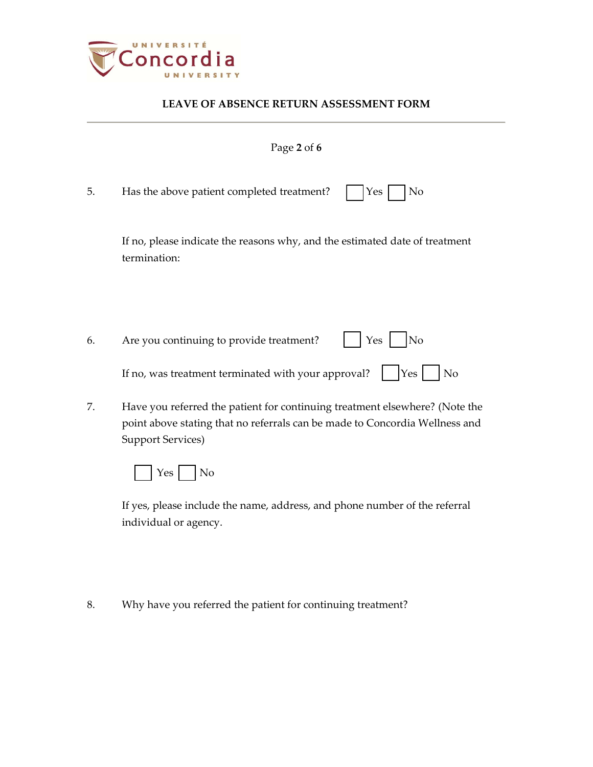

|    | Page 2 of 6                                                                                                                                                |
|----|------------------------------------------------------------------------------------------------------------------------------------------------------------|
| 5. | Has the above patient completed treatment?<br>Yes<br>No                                                                                                    |
|    | If no, please indicate the reasons why, and the estimated date of treatment<br>termination:                                                                |
|    |                                                                                                                                                            |
| 6. | Yes<br>Are you continuing to provide treatment?<br>N <sub>o</sub>                                                                                          |
|    | If no, was treatment terminated with your approval?<br>No<br>Yes                                                                                           |
| 7. | Have you referred the patient for continuing treatment elsewhere? (Note the<br>point above stating that no referrals can be made to Concordia Wellness and |

Support Services)

 $Yes \fbox{ No}$ 

If yes, please include the name, address, and phone number of the referral individual or agency.

8. Why have you referred the patient for continuing treatment?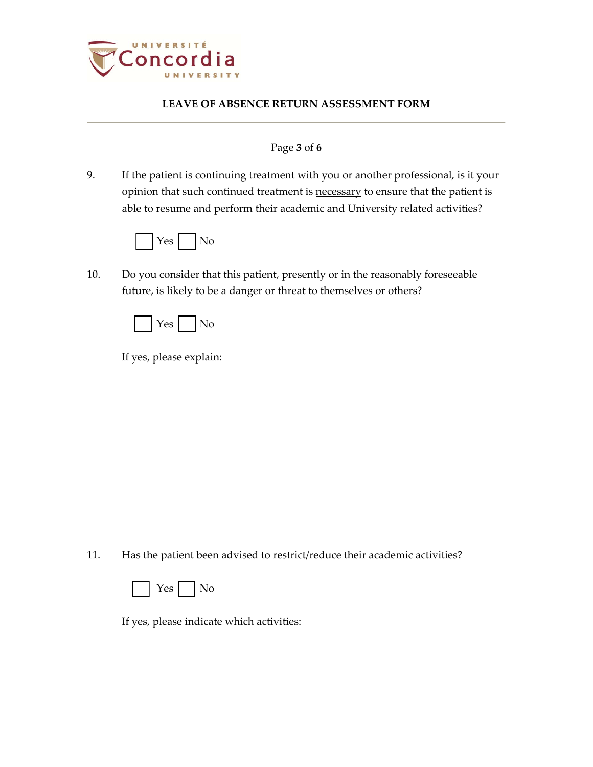

### Page **3** of **6**

9. If the patient is continuing treatment with you or another professional, is it your opinion that such continued treatment is necessary to ensure that the patient is able to resume and perform their academic and University related activities?



10. Do you consider that this patient, presently or in the reasonably foreseeable future, is likely to be a danger or threat to themselves or others?



If yes, please explain:

11. Has the patient been advised to restrict/reduce their academic activities?



If yes, please indicate which activities: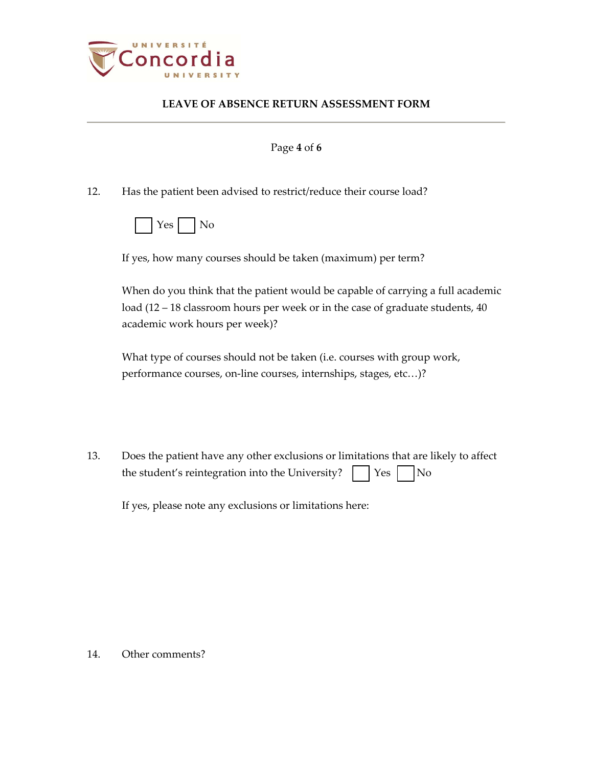

#### Page **4** of **6**

12. Has the patient been advised to restrict/reduce their course load?

|--|--|--|

If yes, how many courses should be taken (maximum) per term?

When do you think that the patient would be capable of carrying a full academic load (12 – 18 classroom hours per week or in the case of graduate students, 40 academic work hours per week)?

What type of courses should not be taken (i.e. courses with group work, performance courses, on-line courses, internships, stages, etc...)?

13. Does the patient have any other exclusions or limitations that are likely to affect the student's reintegration into the University?  $\vert \vert$  Yes  $\vert \vert$  No

If yes, please note any exclusions or limitations here:

14. Other comments?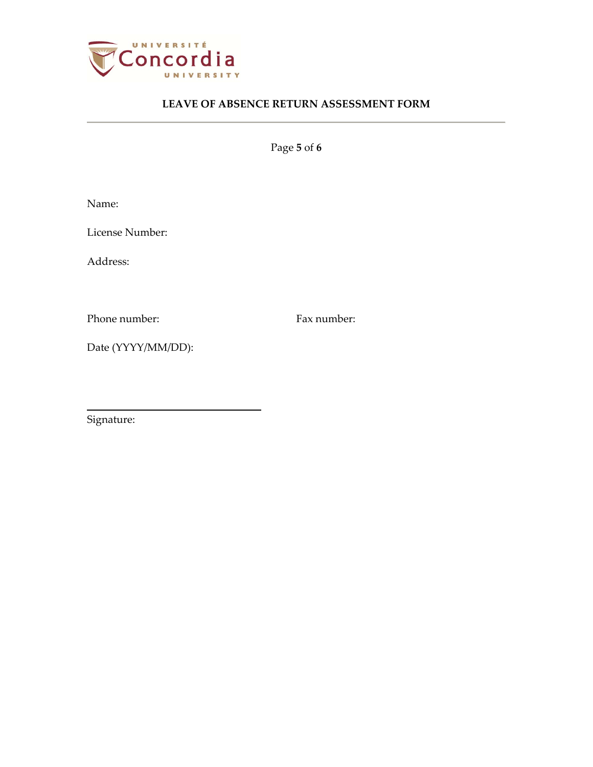

Page **5** of **6**

Name:

License Number:

Address:

Phone number: Fax number:

Date (YYYY/MM/DD):

Signature: